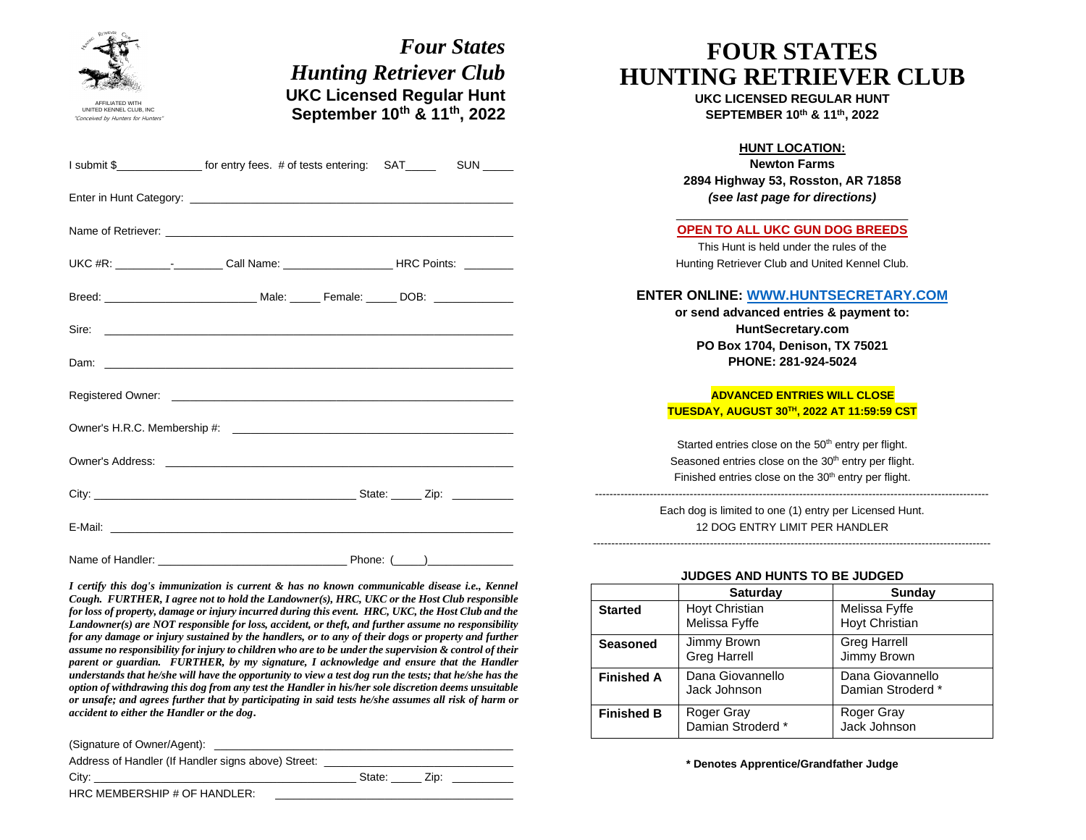| <b>Four States</b><br><b>Hunting Retriever Club</b><br><b>UKC Licensed Regular Hunt</b><br>September 10th & 11th, 2022<br><b>INITED KENNEL CLUB. INC.</b><br>Conceived by Hunters for Hunters | <b>FOUR STATES</b><br><b>HUNTING RETRIEVER CLUB</b><br><b>UKC LICENSED REGULAR HUNT</b><br>SEPTEMBER 10th & 11th, 2022                                                                                  |  |
|-----------------------------------------------------------------------------------------------------------------------------------------------------------------------------------------------|---------------------------------------------------------------------------------------------------------------------------------------------------------------------------------------------------------|--|
| I submit \$__________________ for entry fees. # of tests entering: SAT_________SUN _____                                                                                                      | <b>HUNT LOCATION:</b><br><b>Newton Farms</b><br>2894 Highway 53, Rosston, AR 71858<br>(see last page for directions)                                                                                    |  |
| UKC #R: ______________________Call Name: _______________________HRC Points: _________                                                                                                         | <b>OPEN TO ALL UKC GUN DOG BREEDS</b><br>This Hunt is held under the rules of the<br>Hunting Retriever Club and United Kennel Club.                                                                     |  |
| $Dam:$ $\Box$                                                                                                                                                                                 | <b>ENTER ONLINE: WWW.HUNTSECRETARY.COM</b><br>or send advanced entries & payment to:<br>HuntSecretary.com<br>PO Box 1704, Denison, TX 75021<br>PHONE: 281-924-5024                                      |  |
|                                                                                                                                                                                               | <b>ADVANCED ENTRIES WILL CLOSE</b><br>TUESDAY, AUGUST 30TH, 2022 AT 11:59:59 CST                                                                                                                        |  |
|                                                                                                                                                                                               | Started entries close on the 50 <sup>th</sup> entry per flight.<br>Seasoned entries close on the 30 <sup>th</sup> entry per flight.<br>Finished entries close on the 30 <sup>th</sup> entry per flight. |  |
|                                                                                                                                                                                               | Each dog is limited to one (1) entry per Licensed Hunt.<br>12 DOG ENTRY LIMIT PER HANDLER                                                                                                               |  |
| I certify this dog's immunization is current & has no known communicable disease i.e., Kennel<br>$\mathbf{H}$                                                                                 | <b>JUDGES AND HUNTS TO BE JUDGED</b><br>Sunday<br><b>Saturday</b>                                                                                                                                       |  |

*Cough. FURTHER, I agree not to hold the Landowner(s), HRC, UKC or the Host Club responsible for loss of property, damage or injury incurred during this event. HRC, UKC, the Host Club and the Landowner(s) are NOT responsible for loss, accident, or theft, and further assume no responsibility for any damage or injury sustained by the handlers, or to any of their dogs or property and further assume no responsibility for injury to children who are to be under the supervision & control of their parent or guardian. FURTHER, by my signature, I acknowledge and ensure that the Handler understands that he/she will have the opportunity to view a test dog run the tests; that he/she has the option of withdrawing this dog from any test the Handler in his/her sole discretion deems unsuitable or unsafe; and agrees further that by participating in said tests he/she assumes all risk of harm or accident to either the Handler or the dog***.**

(Signature of Owner/Agent):

Address of Handler (If Handler signs above) Street:

City: \_\_\_\_\_\_\_\_\_\_\_\_\_\_\_\_\_\_\_\_\_\_\_\_\_\_\_\_\_\_\_\_\_\_\_\_\_\_\_\_\_\_\_ State: \_\_\_\_\_ Zip: \_\_\_\_\_\_\_\_\_\_

HRC MEMBERSHIP # OF HANDLER:

**\* Denotes Apprentice/Grandfather Judge**

**Started** Hoyt Christian

**Seasoned** Jimmy Brown

**Finished B** Roger Gray

**Finished A** Dana Giovannello

Melissa Fyffe

Greg Harrell

Jack Johnson

Damian Stroderd \*

Melissa Fyffe Hoyt Christian

Greg Harrell Jimmy Brown

Roger Gray Jack Johnson

Dana Giovannello Damian Stroderd \*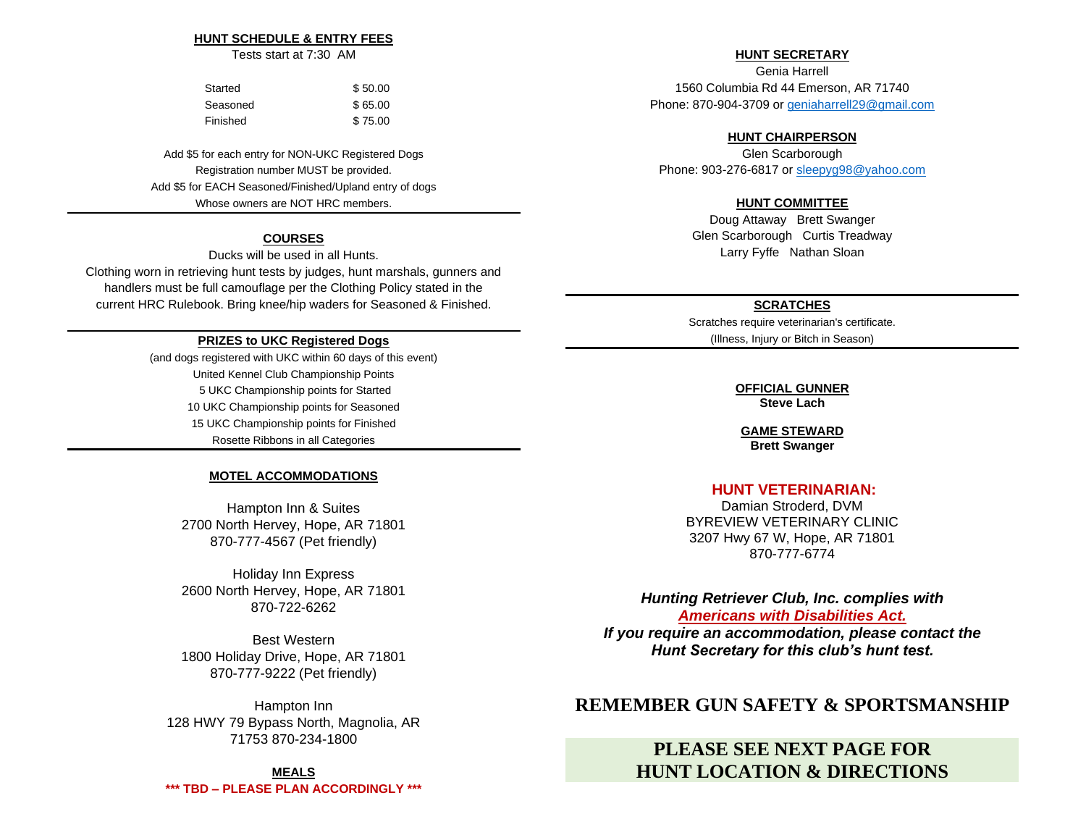### **HUNT SCHEDULE & ENTRY FEES**

Tests start at 7:30 AM

| Started  | \$50.00 |
|----------|---------|
| Seasoned | \$65.00 |
| Finished | \$75.00 |

Add \$5 for each entry for NON-UKC Registered Dogs Registration number MUST be provided. Add \$5 for EACH Seasoned/Finished/Upland entry of dogs Whose owners are NOT HRC members.

## **COURSES**

Ducks will be used in all Hunts. Clothing worn in retrieving hunt tests by judges, hunt marshals, gunners and handlers must be full camouflage per the Clothing Policy stated in the current HRC Rulebook. Bring knee/hip waders for Seasoned & Finished.

## **PRIZES to UKC Registered Dogs**

(and dogs registered with UKC within 60 days of this event) United Kennel Club Championship Points 5 UKC Championship points for Started 10 UKC Championship points for Seasoned 15 UKC Championship points for Finished Rosette Ribbons in all Categories

### **MOTEL ACCOMMODATIONS**

Hampton Inn & Suites 2700 North Hervey, Hope, AR 71801 870-777-4567 (Pet friendly)

Holiday Inn Express 2600 North Hervey, Hope, AR 71801 870-722-6262

Best Western 1800 Holiday Drive, Hope, AR 71801 870-777-9222 (Pet friendly)

Hampton Inn 128 HWY 79 Bypass North, Magnolia, AR 71753 870-234-1800

**MEALS \*\*\* TBD – PLEASE PLAN ACCORDINGLY \*\*\***

## **HUNT SECRETARY**

Genia Harrell 1560 Columbia Rd 44 Emerson, AR 71740 Phone: 870-904-3709 or [geniaharrell29@gmail.com](mailto:geniaharrell29@gmail.com)

### **HUNT CHAIRPERSON**

Glen Scarborough Phone: 903-276-6817 o[r sleepyg98@yahoo.com](mailto:sleepyg98@yahoo.com)

## **HUNT COMMITTEE**

Doug Attaway Brett Swanger Glen Scarborough Curtis Treadway Larry Fyffe Nathan Sloan

### **SCRATCHES**

Scratches require veterinarian's certificate. (Illness, Injury or Bitch in Season)

#### **OFFICIAL GUNNER Steve Lach**

**GAME STEWARD Brett Swanger**

## **HUNT VETERINARIAN:**

Damian Stroderd, DVM BYREVIEW VETERINARY CLINIC 3207 Hwy 67 W, Hope, AR 71801 870-777-6774

*Hunting Retriever Club, Inc. complies with [Americans with Disabilities Act.](https://www.ada.gov/ada_intro.htm)*

*If you require an accommodation, please contact the Hunt Secretary for this club's hunt test.* 

## **REMEMBER GUN SAFETY & SPORTSMANSHIP**

## **PLEASE SEE NEXT PAGE FOR HUNT LOCATION & DIRECTIONS**